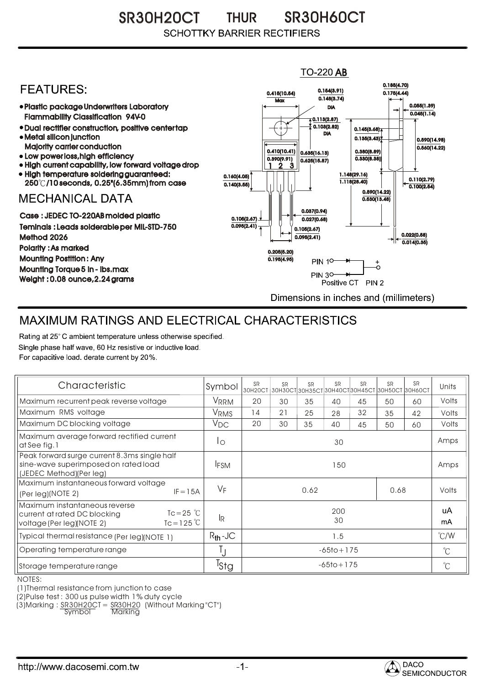SR30H20CT THUR SR30H60CT THUR**SCHOTTKY BARRIER RECTIFIERS** 

## $TO-220$  AB 0.185(4.70) **FEATURES:** 0.154(3.91) 0.415(10.54) 0.175(4.44)  $0.148(3.74)$ **Max** 0.055(1.39) Plastic package Underwriters Laboratory DIA  $0.045(1.14)$ Flammability Classification 94V-0  $\overline{4}$  0.113(2.87) 0.103(2.82) Dual rectifier construction, positive center tap 0.145(3.68) DIA Metal silicon junction  $0.135(3.43)$ 0.590(14.98) Majority carrier conduction  $0.560(14.22)$ 0.410(10.41) 0.380(8.89) 0.635(16.13) • Low power loss, high efficiency 0.330(8.38)) 0.390(9.91)  $0.625(15.87)$ High current capability, low forward voltage drop 1 3 2 • High temperature soldering guaranteed: 1.148(29.16) 0.160(4.05) 0.110(2.79) 250 /10 seconds, 0.25"(6.35mm) from case 1.118(28.40) 0.140(3.55)  $\overline{0.100(2.54)}$ 0.590(14.22) **MECHANICAL DATA**  $0.530(13.48)$ 0.037(0.94) Case : JEDEC TO-220AB molded plastic 0.105(2.67)  $0.027(0.68)$ Teminals : Leads solderable per MIL-STD-750  $0.095(2.41)$ 0.105(2.67) 0.022(0.58) Method 2026  $0.095(2.41)$  $0.014(0.35)$ Polarity : As marked 0.205(5.20) Mounting Postition : Any 0.195(4.95)  $\ddot{\circ}$ **PIN 10-**Mounting Torque 5 in - lbs.max **PIN 30-**÷. Weight : 0.08 ounce,2.24 grams Positive CT PIN 2 Dimensions in inches and (millimeters)

## MAXIMUM RATINGS AND ELECTRICAL CHARACTERISTICS

Rating at 25° C ambient temperature unless otherwise specified. Single phase half wave, 60 Hz resistive or inductive load. For capacitive load, derate current by 20%.

| Characteristic                                                                                                                            | Symbol           | SR<br>30H20CT  | <b>SR</b> | <b>SR</b> | <b>SR</b> | <b>SR</b> | <b>SR</b><br>$ 30H30C$ Т $ 30H35C$ Т $ 30H40C$ Т $ 30H45C$ Т $ 30H50C$ Т $ 30H60C$ Т | <b>SR</b> | Units         |
|-------------------------------------------------------------------------------------------------------------------------------------------|------------------|----------------|-----------|-----------|-----------|-----------|--------------------------------------------------------------------------------------|-----------|---------------|
| Maximum recurrent peak reverse voltage                                                                                                    | VRRM             | 20             | 30        | 35        | 40        | 45        | 50                                                                                   | 60        | Volts         |
| Maximum RMS voltage                                                                                                                       | VRMS             | 14             | 21        | 25        | 28        | 32        | 35                                                                                   | 42        | Volts         |
| Maximum DC blocking voltage                                                                                                               | $V_{DC}$         | 20             | 30        | 35        | 40        | 45        | 50                                                                                   | 60        | Volts         |
| Maximum average forward rectified current<br>at See fig. 1                                                                                | Ιo               | 30             |           |           |           |           |                                                                                      |           | Amps          |
| Peak forward surge current 8.3ms single half<br>sine-wave superimposed on rated load<br>(JEDEC Method)(Per leg)                           | <b>IFSM</b>      | 150            |           |           |           |           |                                                                                      |           | Amps          |
| Maximum instantaneous forward voltage<br>$IF = 15A$<br>(Per leg)(NOTE 2)                                                                  | $V_F$            | 0.62<br>0.68   |           |           |           |           |                                                                                      | Volts     |               |
| Maximum instantaneous reverse<br>$Tc = 25$ $\degree$ C<br>current at rated DC blocking<br>$Tc = 125^{\circ}$<br>voltage (Per leg)(NOTE 2) | -lr              | 200<br>30      |           |           |           |           |                                                                                      |           | uA<br>mA      |
| Typical thermal resistance (Per leg)(NOTE 1)                                                                                              | $R_{th}$ -JC     | 1.5            |           |           |           |           |                                                                                      |           | $\degree$ C/W |
| Operating temperature range                                                                                                               | IJ               | $-65$ to + 175 |           |           |           |           |                                                                                      |           | $^{\circ}C$   |
| Storage temperature range                                                                                                                 | <sup>T</sup> Stg | $-65$ to + 175 |           |           |           |           |                                                                                      |           | $^{\circ}C$   |

NOTES:

(1)Thermal resistance from junction to case

(2)Pulse test : 300 us pulse width 1% duty cycle

(3)Marking : <u>SR30H20CT = SR30H20</u> (Without Marking "CT") R

Symbol Marking